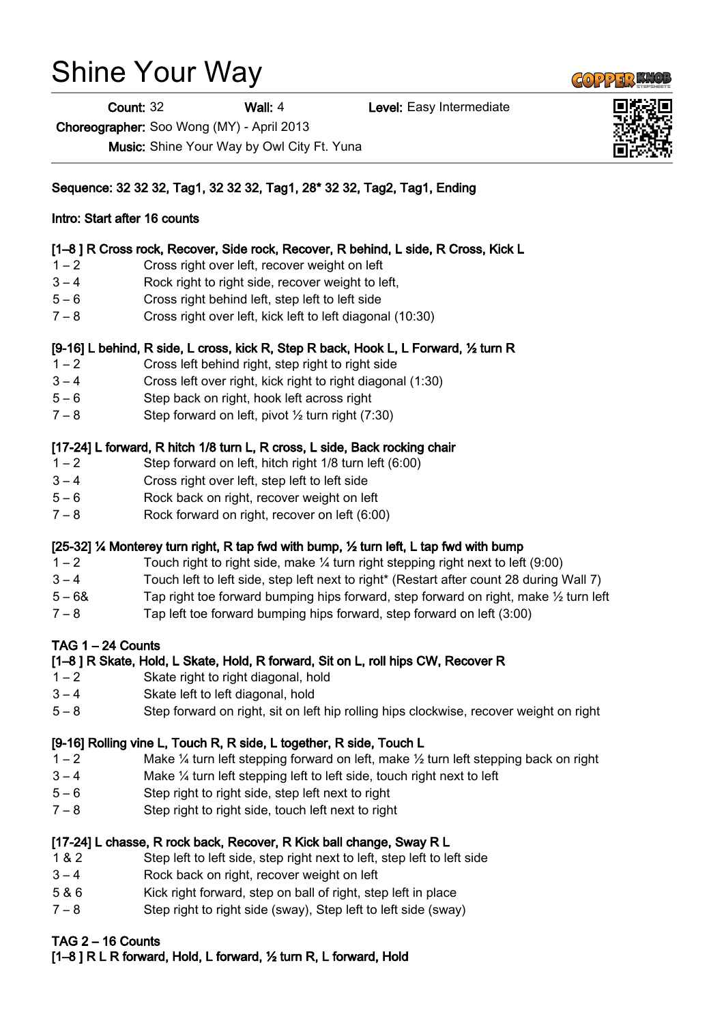# Shine Your Way

Count: 32 Wall: 4 Level: Easy Intermediate

Choreographer: Soo Wong (MY) - April 2013

Music: Shine Your Way by Owl City Ft. Yuna

Sequence: 32 32 32, Tag1, 32 32 32, Tag1, 28\* 32 32, Tag2, Tag1, Ending

## Intro: Start after 16 counts

## [1–8 ] R Cross rock, Recover, Side rock, Recover, R behind, L side, R Cross, Kick L

- 1 2 Cross right over left, recover weight on left
- 3 4 Rock right to right side, recover weight to left,
- 5 6 Cross right behind left, step left to left side
- 7 8 Cross right over left, kick left to left diagonal (10:30)

## [9-16] L behind, R side, L cross, kick R, Step R back, Hook L, L Forward, ½ turn R

- 1 2 Cross left behind right, step right to right side
- 3 4 Cross left over right, kick right to right diagonal (1:30)
- 5 6 Step back on right, hook left across right
- $7 8$  Step forward on left, pivot  $\frac{1}{2}$  turn right (7:30)

## [17-24] L forward, R hitch 1/8 turn L, R cross, L side, Back rocking chair

- 1 2 Step forward on left, hitch right 1/8 turn left (6:00)
- 3 4 Cross right over left, step left to left side
- 5 6 Rock back on right, recover weight on left
- 7 8 Rock forward on right, recover on left (6:00)

# [25-32] ¼ Monterey turn right, R tap fwd with bump, ½ turn left, L tap fwd with bump

- $1 2$  Touch right to right side, make  $\frac{1}{4}$  turn right stepping right next to left (9:00)
- 3 4 Touch left to left side, step left next to right\* (Restart after count 28 during Wall 7)
- 5 6& Tap right toe forward bumping hips forward, step forward on right, make  $\frac{1}{2}$  turn left
- 7 8 Tap left toe forward bumping hips forward, step forward on left (3:00)

# TAG 1 – 24 Counts

# [1–8 ] R Skate, Hold, L Skate, Hold, R forward, Sit on L, roll hips CW, Recover R

- 1 2 Skate right to right diagonal, hold
- 3 4 Skate left to left diagonal, hold
- 5 8 Step forward on right, sit on left hip rolling hips clockwise, recover weight on right

# [9-16] Rolling vine L, Touch R, R side, L together, R side, Touch L

- 1 2 Make  $\frac{1}{4}$  turn left stepping forward on left, make  $\frac{1}{2}$  turn left stepping back on right
- 3 4 Make ¼ turn left stepping left to left side, touch right next to left
- 5 6 Step right to right side, step left next to right
- 7 8 Step right to right side, touch left next to right

#### [17-24] L chasse, R rock back, Recover, R Kick ball change, Sway R L

- 1 & 2 Step left to left side, step right next to left, step left to left side
- 3 4 Rock back on right, recover weight on left
- 5 & 6 Kick right forward, step on ball of right, step left in place
- 7 8 Step right to right side (sway), Step left to left side (sway)

# TAG 2 – 16 Counts

[1–8 ] R L R forward, Hold, L forward, ½ turn R, L forward, Hold